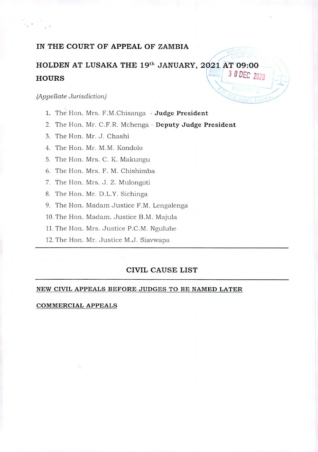# **IN THE COURT OF APPEAL OF ZAMBIA**

# **HOLDEN AT LUSAKA THE 19th JANUARY, 2021 AT 09:00 HOURS**  $\begin{bmatrix} 4 & 3 & 0 \\ 0 & 3 & 0 \\ 0 & 0 & 2020 \end{bmatrix}$

#### *(Appellate Jurisdiction)*

- 1. The Hon. Mrs. F.M.Chisanga **Judge President**
- 2. The Hon. Mr. C.F.R. Mchenga **Deputy Judge President**
- 3. The Hon. Mr. J. Chashi
- 4. The Hon. Mr. M.M. Kondolo
- 5. The Hon. Mrs. C. K. Makungu
- 6. The Hon. Mrs. F. M. Chishimba
- 7. The Hon. Mrs. J. *Z.* Mulongoti
- 8. The Hon. Mr. D.L.Y. Sichinga
- 9. The Hon. Madam Justice F.M. Lengalenga
- 10. The Hon. Madam. Justice B.M. Majula
- 11. The Hon. Mrs. Justice P.C.M. Ngulubc
- 12. The Hon. Mr. Justice M.J. Siavwapa

## **CIVIL CAUSE LIST**

#### **NEW CIVIL APPEALS BEFORE JUDGES TO BE NAMED LATER**

#### **COMMERCIAL APPEALS**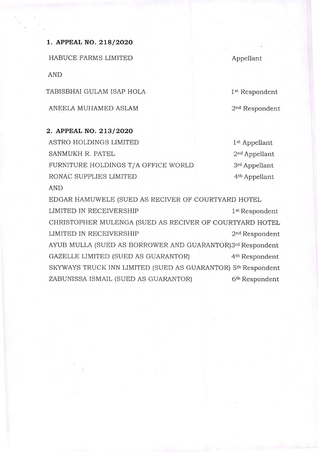**1. APPEAL NO. 218/2020** 

HABUCE FARMS LIMITED

AND

TABISBHAI GULAM ISAP HOLA

ANEELA MUHAMED ASLAM

**2. APPEAL NO. 213/2020** 

ASTRO HOLDINGS LIMITED **1st** Appellant SANMUKH R. PATEL 2<sup>nd</sup> Appellant FURNITURE HOLDINGS T/A OFFICE WORLD 3rd Appellant RONAC SUPPLIES LIMITED 4<sup>th</sup> Appellant

AND

EDGAR HAMUWELE (SUED AS RECIVER OF COURTYARD HOTEL LIMITED IN RECEIVERSHIP 1st Respondent CHRISTOPHER MULENGA (SUED AS RECIVER OF COURTYARD HOTEL LIMITED IN RECEIVERSHIP 2nd Respondent AYUB MULLA (SUED AS BORROWER AND GUARANTOR)3rd Respondent GAZELLE LIMITED (SUED AS GUARANTOR) 4<sup>th</sup> Respondent SKYWAYS TRUCK INN LIMITED (SUED AS GUARANTOR) 5<sup>th</sup> Respondent ZABUNISSA ISMAIL (SUED AS GUARANTOR) **6th** Respondent

Appellant

1st Respondent

2<sup>nd</sup> Respondent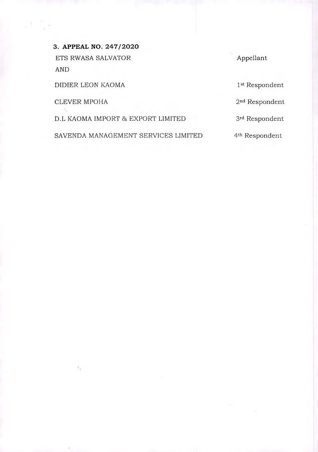**3. APPEAL NO. 247/2020**  ETS RWASA SALVATOR Appellant AND

DIDIER LEON KAOMA 1st Respondent

CLEVER MPOHA 2nd Respondent

 $\mathcal{I}_{\mathcal{X}}$ 

D.L KAOMA IMPORT & EXPORT LIMITED **3rd** Respondent

SAVENDA MANAGEMENT SERVICES LIMITED 4th Respondent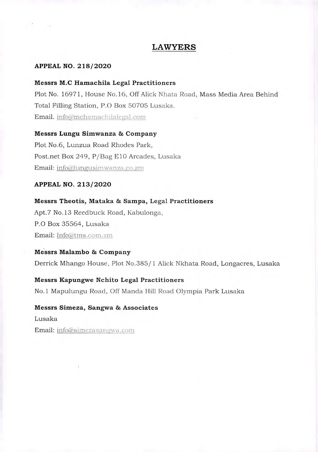## **LAWYERS**

#### **APPEAL NO. 218/2020**

#### **Messrs M.0 Hamachila Legal Practitioners**

Plot No. 16971, House No. 16, Off Alick Nhata Road, Mass Media Area Behind Total Filling Station, P.O Box 50705 Lusaka. Email. info@mchamachilalegal.com

## **Messrs Lungu Simwanza & Company**

Plot No.6, Lunzua Road Rhodes Park, Post.net Box 249, P/ Bag E10 Arcades, Lusaka Email: info@lungusimwanza.co.zm

#### **APPEAL NO. 213/2020**

**Messrs Theotis, Mataka & Sampa, Legal Practitioners**  Apt.7 No. 13 Reedbuck Road, Kabulonga, P.O Box 35564, Lusaka Email: Info@tms.com.zm

**Messrs Malambo & Company**  Derrick Mhango House, Plot No.385/ 1 Alick Nkhata Road, Longacres, Lusaka

**Messrs Kapungwe Nchito Legal Practitioners**  No.1 Mapulungu Road, Off Manda Hill Road Olympia Park Lusaka

**Messrs Simeza, Sangwa & Associates**  Lusaka Email: info@simezasangwa.com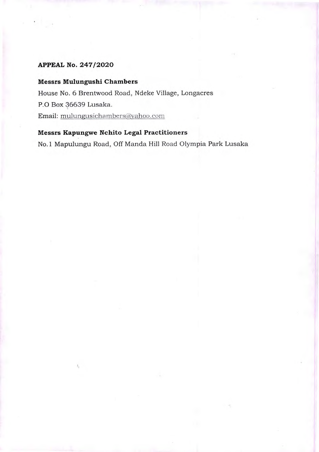# **APPEAL No. 247/2020**

## **Messrs Mulungushi Chambers**

House No. 6 Brentwood Road, Ndeke Village, Longacres P.O Box 36639 Lusaka. Email: mulungusicha mbers@vahoo.com

## **Messrs Kapungwe Nchito Legal Practitioners**

No.1 Mapulungu Road, Off Manda Hill Road Olympia Park Lusaka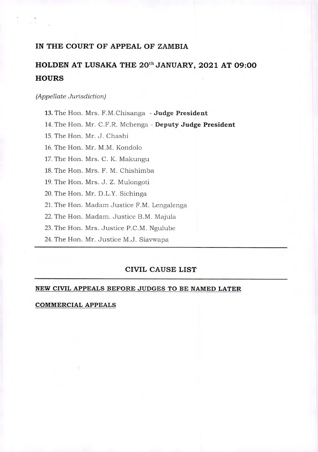# **IN THE COURT OF APPEAL OF ZAMBIA**

# HOLDEN AT LUSAKA THE 20<sup>th</sup> JANUARY, 2021 AT 09:00 **HOURS**

#### *(Appellate Jurisdiction)*

13. The Hon. Mrs. F.M.Chisanga - **Judge President** 

14. The Hon. Mr. C.F.R. Mchenga - **Deputy Judge President** 

15. The Hon. Mr. J. Chashi

16. The Hon. Mr. M.M. Kondolo

17. The Hon. Mrs. C. K. Makungu

18. The Hon. Mrs. F. M. Chishimba

19. The Hon. Mrs. J. Z. Mulongoti

20. The Hon. Mr. D.L.Y. Sichinga

21. The Hon. Madam Justice F.M. Lengalenga

22. The Hon. Madam. Justice B.M. Majula

23. The Hon. Mrs. Justice P.C.M. Ngulube

24. The Hon. Mr. Justice M.J. Siavwapa

# **CIVIL CAUSE LIST**

#### **NEW CIVIL APPEALS BEFORE JUDGES TO BE NAMED LATER**

#### **COMMERCIAL APPEALS**